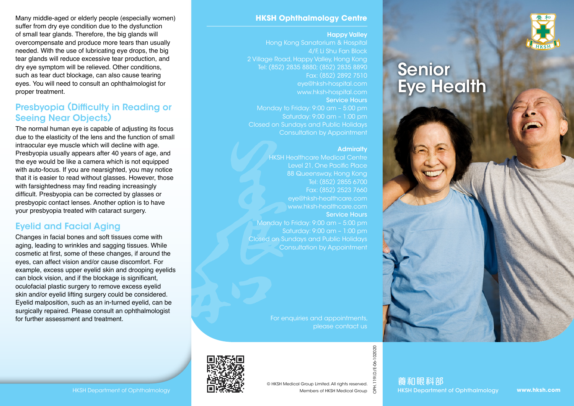

# Senior Eye Health

Many middle-aged or elderly people (especially women) suffer from dry eye condition due to the dysfunction of small tear glands. Therefore, the big glands will overcompensate and produce more tears than usually needed. With the use of lubricating eye drops, the big tear glands will reduce excessive tear production, and dry eye symptom will be relieved. Other conditions, such as tear duct blockage, can also cause tearing eyes. You will need to consult an ophthalmologist for proper treatment.

### Presbyopia (Difficulty in Reading or Seeing Near Objects)

The normal human eye is capable of adjusting its focus due to the elasticity of the lens and the function of small intraocular eye muscle which will decline with age. Presbyopia usually appears after 40 years of age, and the eye would be like a camera which is not equipped with auto-focus. If you are nearsighted, you may notice that it is easier to read without glasses. However, those with farsightedness may find reading increasingly difficult. Presbyopia can be corrected by glasses or presbyopic contact lenses. Another option is to have your presbyopia treated with cataract surgery.

## Eyelid and Facial Aging

Changes in facial bones and soft tissues come with aging, leading to wrinkles and sagging tissues. While cosmetic at first, some of these changes, if around the eyes, can affect vision and/or cause discomfort. For example, excess upper eyelid skin and drooping eyelids can block vision, and if the blockage is significant, oculofacial plastic surgery to remove excess eyelid skin and/or eyelid lifting surgery could be considered. Eyelid malposition, such as an in-turned eyelid, can be surgically repaired. Please consult an ophthalmologist for further assessment and treatment.

#### **HKSH Ophthalmology Centre**

Happy Valley Hong Kong Sanatorium & Hospital 4/F, Li Shu Fan Block 2 Village Road, Happy Valley, Hong Kong Tel: (852) 2835 8880; (852) 2835 8890 Fax: (852) 2892 7510 eye@hksh-hospital.com www.hksh-hospital.com Service Hours Monday to Friday: 9:00 am – 5:00 pm Saturday: 9:00 am – 1:00 pm Closed on Sundays and Public Holidays

Consultation by Appointment

#### **Admiralty**

HKSH Healthcare Medical Centre Level 21, One Pacific Place 88 Queensway, Hong Kong Tel: (852) 2855 6700 Fax: (852) 2523 7660 eye@hksh-healthcare.com www.hksh-healthcare.com Service Hours Monday to Friday: 9:00 am – 5:00 pm Saturday: 9:00 am – 1:00 pm Closed on Sundays and Public Holidays Consultation by Appointment

> For enquiries and appointments, please contact us



OPH.119I.D/E-06-102020

1.1191.D/E-06-102020

養和眼科部 HKSH Department of Ophthalmology **HELLEGENT I**N Nembers of HKSH Medical Group **A** HKSH Department of Ophthalmology

**www.hksh.com**